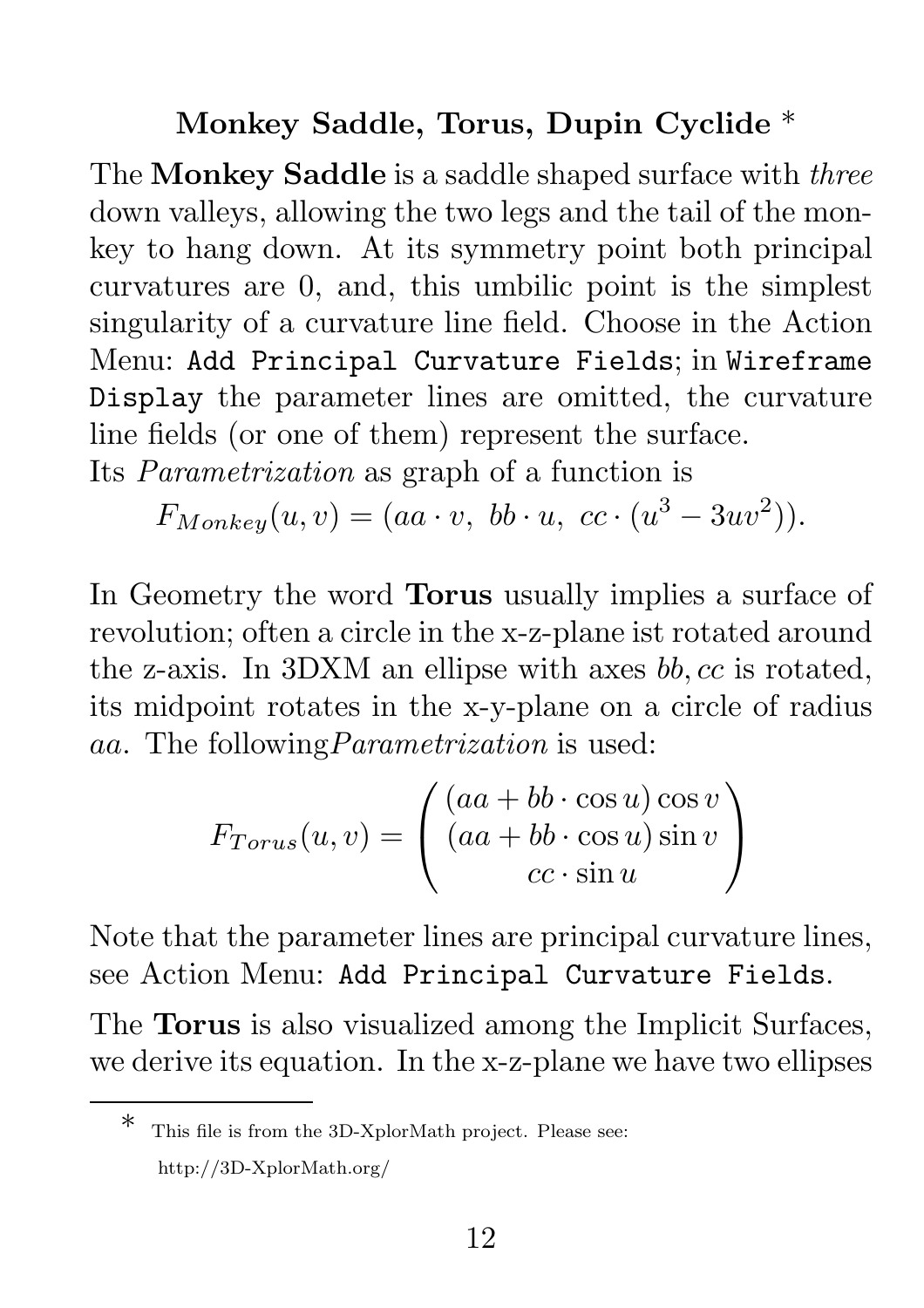## Monkey Saddle, Torus, Dupin Cyclide \*

The Monkey Saddle is a saddle shaped surface with *three* down valleys, allowing the two legs and the tail of the monkey to hang down. At its symmetry point both principal curvatures are 0, and, this umbilic point is the simplest singularity of a curvature line field. Choose in the Action Menu: Add Principal Curvature Fields; in Wireframe Display the parameter lines are omitted, the curvature line fields (or one of them) represent the surface. Its *Parametrization* as graph of a function is

 $F_{Monkey}(u, v) = (aa \cdot v, bb \cdot u, cc \cdot (u^3 - 3uv^2)).$ 

In Geometry the word Torus usually implies a surface of revolution; often a circle in the x-z-plane ist rotated around the z-axis. In 3DXM an ellipse with axes bb, cc is rotated, its midpoint rotates in the x-y-plane on a circle of radius aa. The following*Parametrization* is used:

$$
F_{Torus}(u,v) = \begin{pmatrix} (aa + bb \cdot \cos u) \cos v \\ (aa + bb \cdot \cos u) \sin v \\ cc \cdot \sin u \end{pmatrix}
$$

Note that the parameter lines are principal curvature lines, see Action Menu: Add Principal Curvature Fields.

The Torus is also visualized among the Implicit Surfaces, we derive its equation. In the x-z-plane we have two ellipses

This file is from the 3D-XplorMath project. Please see: http://3D-XplorMath.org/